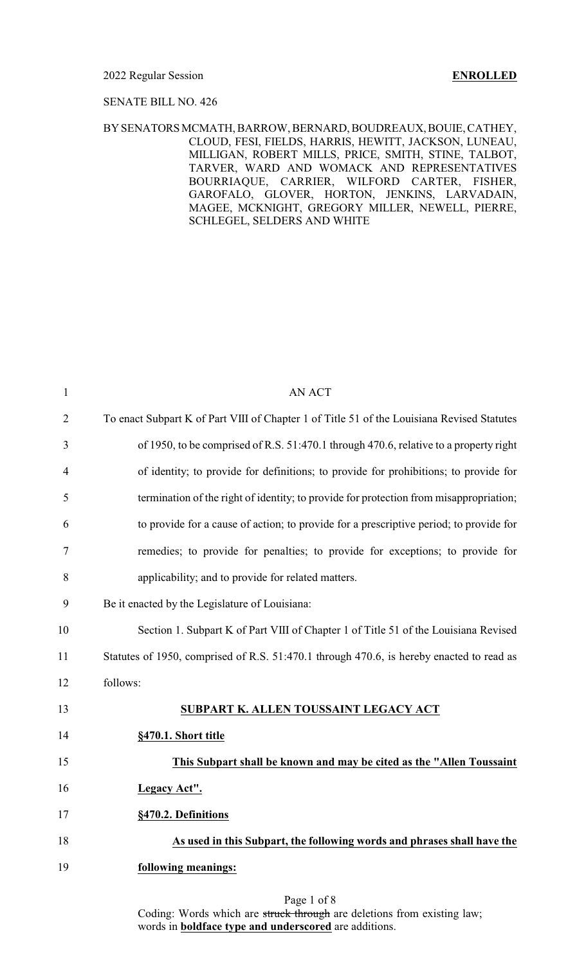### SENATE BILL NO. 426

### BYSENATORSMCMATH, BARROW,BERNARD, BOUDREAUX, BOUIE, CATHEY, CLOUD, FESI, FIELDS, HARRIS, HEWITT, JACKSON, LUNEAU, MILLIGAN, ROBERT MILLS, PRICE, SMITH, STINE, TALBOT, TARVER, WARD AND WOMACK AND REPRESENTATIVES BOURRIAQUE, CARRIER, WILFORD CARTER, FISHER, GAROFALO, GLOVER, HORTON, JENKINS, LARVADAIN, MAGEE, MCKNIGHT, GREGORY MILLER, NEWELL, PIERRE, SCHLEGEL, SELDERS AND WHITE

| $\mathbf{1}$   | <b>AN ACT</b>                                                                              |
|----------------|--------------------------------------------------------------------------------------------|
| $\overline{2}$ | To enact Subpart K of Part VIII of Chapter 1 of Title 51 of the Louisiana Revised Statutes |
| 3              | of 1950, to be comprised of R.S. 51:470.1 through 470.6, relative to a property right      |
| $\overline{4}$ | of identity; to provide for definitions; to provide for prohibitions; to provide for       |
| 5              | termination of the right of identity; to provide for protection from misappropriation;     |
| 6              | to provide for a cause of action; to provide for a prescriptive period; to provide for     |
| 7              | remedies; to provide for penalties; to provide for exceptions; to provide for              |
| 8              | applicability; and to provide for related matters.                                         |
| 9              | Be it enacted by the Legislature of Louisiana:                                             |
| 10             | Section 1. Subpart K of Part VIII of Chapter 1 of Title 51 of the Louisiana Revised        |
| 11             | Statutes of 1950, comprised of R.S. 51:470.1 through 470.6, is hereby enacted to read as   |
| 12             | follows:                                                                                   |
| 13             | SUBPART K. ALLEN TOUSSAINT LEGACY ACT                                                      |
| 14             | §470.1. Short title                                                                        |
| 15             | This Subpart shall be known and may be cited as the "Allen Toussaint                       |
| 16             | Legacy Act".                                                                               |
| 17             | §470.2. Definitions                                                                        |
| 18             | As used in this Subpart, the following words and phrases shall have the                    |
| 19             | following meanings:                                                                        |
|                |                                                                                            |

Page 1 of 8 Coding: Words which are struck through are deletions from existing law; words in **boldface type and underscored** are additions.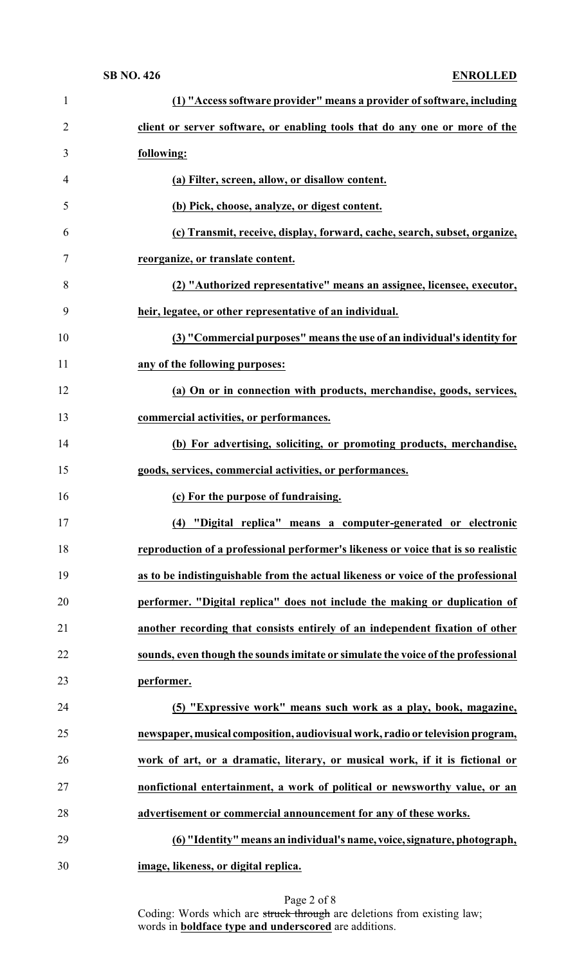| $\mathbf{1}$   | (1) "Access software provider" means a provider of software, including            |
|----------------|-----------------------------------------------------------------------------------|
| $\overline{2}$ | client or server software, or enabling tools that do any one or more of the       |
| 3              | following:                                                                        |
| 4              | (a) Filter, screen, allow, or disallow content.                                   |
| 5              | (b) Pick, choose, analyze, or digest content.                                     |
| 6              | (c) Transmit, receive, display, forward, cache, search, subset, organize,         |
| 7              | reorganize, or translate content.                                                 |
| 8              | (2) "Authorized representative" means an assignee, licensee, executor,            |
| 9              | heir, legatee, or other representative of an individual.                          |
| 10             | (3) "Commercial purposes" means the use of an individual's identity for           |
| 11             | any of the following purposes:                                                    |
| 12             | (a) On or in connection with products, merchandise, goods, services,              |
| 13             | commercial activities, or performances.                                           |
| 14             | (b) For advertising, soliciting, or promoting products, merchandise,              |
| 15             | goods, services, commercial activities, or performances.                          |
|                |                                                                                   |
| 16             | (c) For the purpose of fundraising.                                               |
| 17             | (4) "Digital replica" means a computer-generated or electronic                    |
| 18             | reproduction of a professional performer's likeness or voice that is so realistic |
| 19             | as to be indistinguishable from the actual likeness or voice of the professional  |
| 20             | performer. "Digital replica" does not include the making or duplication of        |
| 21             | another recording that consists entirely of an independent fixation of other      |
| 22             | sounds, even though the sounds imitate or simulate the voice of the professional  |
| 23             | performer.                                                                        |
| 24             | (5) "Expressive work" means such work as a play, book, magazine,                  |
| 25             | newspaper, musical composition, audiovisual work, radio or television program,    |
| 26             | work of art, or a dramatic, literary, or musical work, if it is fictional or      |
| 27             | nonfictional entertainment, a work of political or newsworthy value, or an        |
| 28             | advertisement or commercial announcement for any of these works.                  |
| 29             | (6) "Identity" means an individual's name, voice, signature, photograph,          |

Page 2 of 8 Coding: Words which are struck through are deletions from existing law; words in **boldface type and underscored** are additions.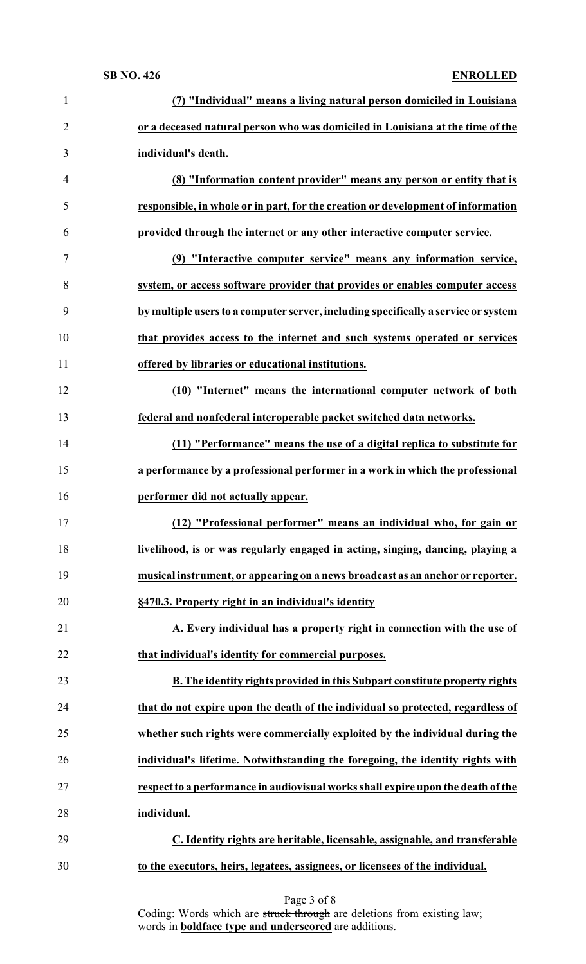| $\mathbf{1}$   | (7) "Individual" means a living natural person domiciled in Louisiana              |
|----------------|------------------------------------------------------------------------------------|
| $\overline{2}$ | or a deceased natural person who was domiciled in Louisiana at the time of the     |
| 3              | individual's death.                                                                |
| 4              | (8) "Information content provider" means any person or entity that is              |
| 5              | responsible, in whole or in part, for the creation or development of information   |
| 6              | provided through the internet or any other interactive computer service.           |
| 7              | (9) "Interactive computer service" means any information service,                  |
| 8              | system, or access software provider that provides or enables computer access       |
| 9              | by multiple users to a computer server, including specifically a service or system |
| 10             | that provides access to the internet and such systems operated or services         |
| 11             | offered by libraries or educational institutions.                                  |
| 12             | (10) "Internet" means the international computer network of both                   |
| 13             | federal and nonfederal interoperable packet switched data networks.                |
| 14             | (11) "Performance" means the use of a digital replica to substitute for            |
| 15             | a performance by a professional performer in a work in which the professional      |
|                |                                                                                    |
| 16             | performer did not actually appear.                                                 |
| 17             | (12) "Professional performer" means an individual who, for gain or                 |
| 18             | livelihood, is or was regularly engaged in acting, singing, dancing, playing a     |
| 19             | musical instrument, or appearing on a news broadcast as an anchor or reporter.     |
| 20             | §470.3. Property right in an individual's identity                                 |
| 21             | A. Every individual has a property right in connection with the use of             |
| 22             | that individual's identity for commercial purposes.                                |
| 23             | B. The identity rights provided in this Subpart constitute property rights         |
| 24             | that do not expire upon the death of the individual so protected, regardless of    |
| 25             | whether such rights were commercially exploited by the individual during the       |
| 26             | individual's lifetime. Notwithstanding the foregoing, the identity rights with     |
| 27             | respect to a performance in audiovisual works shall expire upon the death of the   |
| 28             | individual.                                                                        |
| 29             | C. Identity rights are heritable, licensable, assignable, and transferable         |

Coding: Words which are struck through are deletions from existing law; words in **boldface type and underscored** are additions.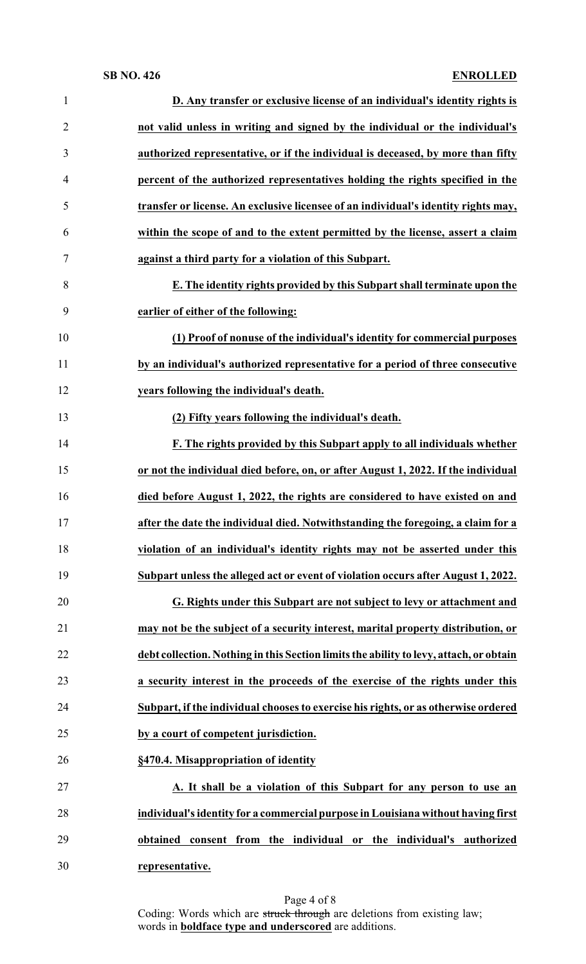| 1              | D. Any transfer or exclusive license of an individual's identity rights is             |
|----------------|----------------------------------------------------------------------------------------|
| $\overline{2}$ | not valid unless in writing and signed by the individual or the individual's           |
| 3              | authorized representative, or if the individual is deceased, by more than fifty        |
| 4              | percent of the authorized representatives holding the rights specified in the          |
| 5              | transfer or license. An exclusive licensee of an individual's identity rights may,     |
| 6              | within the scope of and to the extent permitted by the license, assert a claim         |
| 7              | against a third party for a violation of this Subpart.                                 |
| 8              | E. The identity rights provided by this Subpart shall terminate upon the               |
| 9              | earlier of either of the following:                                                    |
| 10             | (1) Proof of nonuse of the individual's identity for commercial purposes               |
| 11             | by an individual's authorized representative for a period of three consecutive         |
| 12             | years following the individual's death.                                                |
| 13             | (2) Fifty years following the individual's death.                                      |
| 14             | F. The rights provided by this Subpart apply to all individuals whether                |
| 15             | or not the individual died before, on, or after August 1, 2022. If the individual      |
| 16             | died before August 1, 2022, the rights are considered to have existed on and           |
| 17             | after the date the individual died. Notwithstanding the foregoing, a claim for a       |
| 18             | violation of an individual's identity rights may not be asserted under this            |
| 19             | Subpart unless the alleged act or event of violation occurs after August 1, 2022.      |
| 20             | G. Rights under this Subpart are not subject to levy or attachment and                 |
| 21             | may not be the subject of a security interest, marital property distribution, or       |
| 22             | debt collection. Nothing in this Section limits the ability to levy, attach, or obtain |
| 23             | a security interest in the proceeds of the exercise of the rights under this           |
| 24             | Subpart, if the individual chooses to exercise his rights, or as otherwise ordered     |
| 25             | by a court of competent jurisdiction.                                                  |
| 26             | §470.4. Misappropriation of identity                                                   |
| 27             | A. It shall be a violation of this Subpart for any person to use an                    |
| 28             | individual's identity for a commercial purpose in Louisiana without having first       |
|                |                                                                                        |
| 29             | obtained consent from the individual or the individual's authorized                    |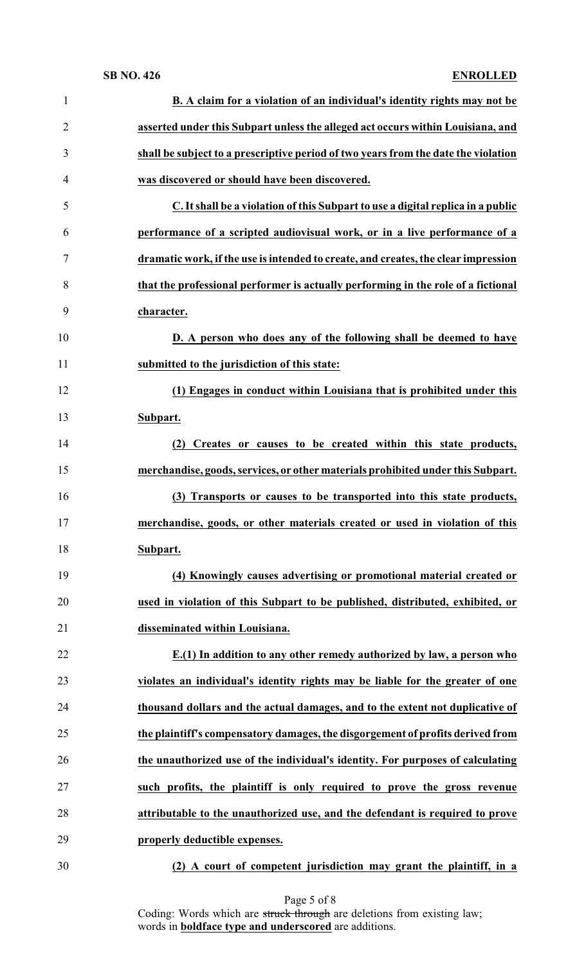| $\mathbf{1}$   | <b>B.</b> A claim for a violation of an individual's identity rights may not be    |
|----------------|------------------------------------------------------------------------------------|
| $\overline{2}$ | asserted under this Subpart unless the alleged act occurs within Louisiana, and    |
| 3              | shall be subject to a prescriptive period of two years from the date the violation |
| 4              | was discovered or should have been discovered.                                     |
| 5              | C. It shall be a violation of this Subpart to use a digital replica in a public    |
| 6              | performance of a scripted audiovisual work, or in a live performance of a          |
| $\tau$         | dramatic work, if the use is intended to create, and creates, the clear impression |
| 8              | that the professional performer is actually performing in the role of a fictional  |
| 9              | character.                                                                         |
| 10             | D. A person who does any of the following shall be deemed to have                  |
| 11             | submitted to the jurisdiction of this state:                                       |
| 12             | (1) Engages in conduct within Louisiana that is prohibited under this              |
| 13             | Subpart.                                                                           |
| 14             | (2) Creates or causes to be created within this state products,                    |
| 15             | merchandise, goods, services, or other materials prohibited under this Subpart.    |
| 16             | (3) Transports or causes to be transported into this state products,               |
| 17             | merchandise, goods, or other materials created or used in violation of this        |
| 18             | Subpart.                                                                           |
| 19             | (4) Knowingly causes advertising or promotional material created or                |
| 20             | used in violation of this Subpart to be published, distributed, exhibited, or      |
| 21             | disseminated within Louisiana.                                                     |
| 22             | E.(1) In addition to any other remedy authorized by law, a person who              |
| 23             | violates an individual's identity rights may be liable for the greater of one      |
| 24             | thousand dollars and the actual damages, and to the extent not duplicative of      |
| 25             | the plaintiff's compensatory damages, the disgorgement of profits derived from     |
| 26             | the unauthorized use of the individual's identity. For purposes of calculating     |
| 27             | such profits, the plaintiff is only required to prove the gross revenue            |
| 28             | attributable to the unauthorized use, and the defendant is required to prove       |
| 29             | properly deductible expenses.                                                      |
| 30             | (2) A court of competent jurisdiction may grant the plaintiff, in a                |

Page 5 of 8

Coding: Words which are struck through are deletions from existing law; words in **boldface type and underscored** are additions.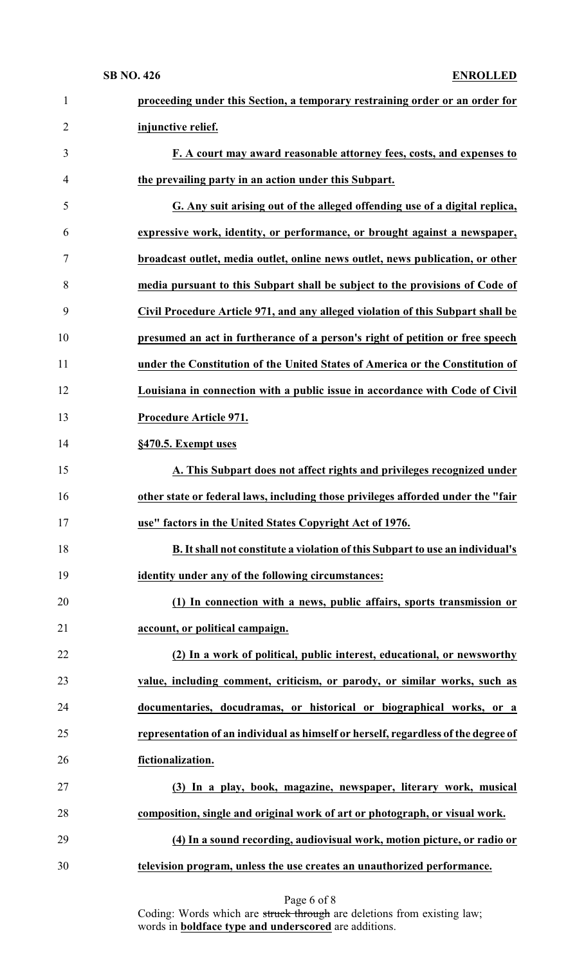| $\mathbf{1}$   | proceeding under this Section, a temporary restraining order or an order for       |
|----------------|------------------------------------------------------------------------------------|
| $\overline{2}$ | injunctive relief.                                                                 |
| 3              | F. A court may award reasonable attorney fees, costs, and expenses to              |
| $\overline{4}$ | the prevailing party in an action under this Subpart.                              |
| 5              | G. Any suit arising out of the alleged offending use of a digital replica,         |
| 6              | expressive work, identity, or performance, or brought against a newspaper,         |
| 7              | broadcast outlet, media outlet, online news outlet, news publication, or other     |
| 8              | media pursuant to this Subpart shall be subject to the provisions of Code of       |
| 9              | Civil Procedure Article 971, and any alleged violation of this Subpart shall be    |
| 10             | presumed an act in furtherance of a person's right of petition or free speech      |
| 11             | under the Constitution of the United States of America or the Constitution of      |
| 12             | Louisiana in connection with a public issue in accordance with Code of Civil       |
| 13             | Procedure Article 971.                                                             |
| 14             | §470.5. Exempt uses                                                                |
| 15             | A. This Subpart does not affect rights and privileges recognized under             |
| 16             | other state or federal laws, including those privileges afforded under the "fair   |
| 17             | use" factors in the United States Copyright Act of 1976.                           |
| 18             | B. It shall not constitute a violation of this Subpart to use an individual's      |
| 19             | identity under any of the following circumstances:                                 |
| 20             | (1) In connection with a news, public affairs, sports transmission or              |
| 21             | account, or political campaign.                                                    |
| 22             | (2) In a work of political, public interest, educational, or newsworthy            |
| 23             | value, including comment, criticism, or parody, or similar works, such as          |
| 24             | documentaries, docudramas, or historical or biographical works, or a               |
| 25             | representation of an individual as himself or herself, regardless of the degree of |
| 26             | fictionalization.                                                                  |
| 27             | (3) In a play, book, magazine, newspaper, literary work, musical                   |
| 28             | composition, single and original work of art or photograph, or visual work.        |
| 29             | (4) In a sound recording, audiovisual work, motion picture, or radio or            |
| 30             | television program, unless the use creates an unauthorized performance.            |
|                |                                                                                    |

Page 6 of 8

Coding: Words which are struck through are deletions from existing law; words in **boldface type and underscored** are additions.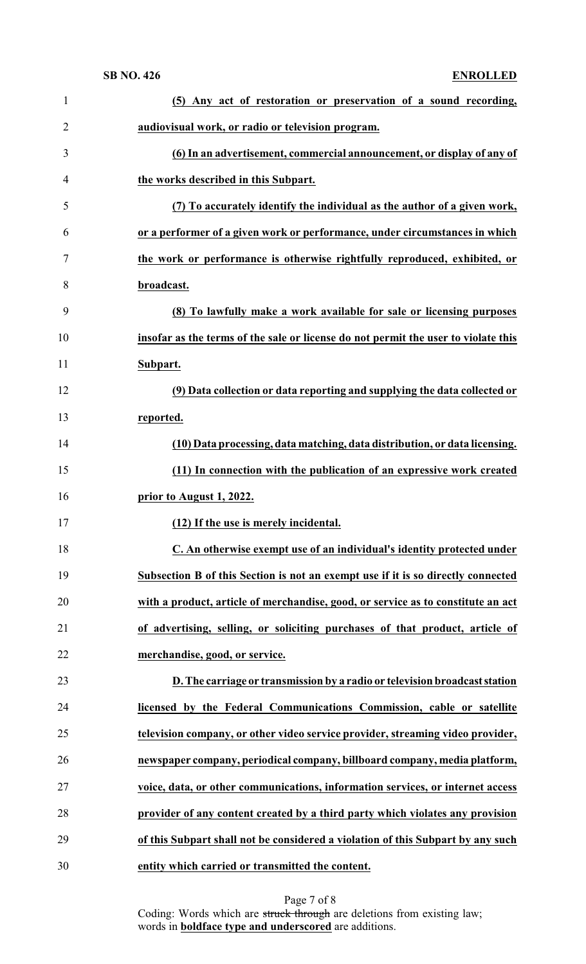| $\mathbf{1}$   | (5) Any act of restoration or preservation of a sound recording,                   |
|----------------|------------------------------------------------------------------------------------|
| $\overline{2}$ | audiovisual work, or radio or television program.                                  |
| 3              | (6) In an advertisement, commercial announcement, or display of any of             |
| 4              | the works described in this Subpart.                                               |
| 5              | (7) To accurately identify the individual as the author of a given work,           |
| 6              | or a performer of a given work or performance, under circumstances in which        |
| 7              | the work or performance is otherwise rightfully reproduced, exhibited, or          |
| 8              | broadcast.                                                                         |
| 9              | (8) To lawfully make a work available for sale or licensing purposes               |
| 10             | insofar as the terms of the sale or license do not permit the user to violate this |
| 11             | Subpart.                                                                           |
| 12             | (9) Data collection or data reporting and supplying the data collected or          |
| 13             | reported.                                                                          |
| 14             | (10) Data processing, data matching, data distribution, or data licensing.         |
| 15             | (11) In connection with the publication of an expressive work created              |
| 16             | prior to August 1, 2022.                                                           |
| 17             | (12) If the use is merely incidental.                                              |
| 18             | C. An otherwise exempt use of an individual's identity protected under             |
| 19             | Subsection B of this Section is not an exempt use if it is so directly connected   |
| 20             | with a product, article of merchandise, good, or service as to constitute an act   |
| 21             | of advertising, selling, or soliciting purchases of that product, article of       |
| 22             | merchandise, good, or service.                                                     |
| 23             | D. The carriage or transmission by a radio or television broadcast station         |
| 24             | licensed by the Federal Communications Commission, cable or satellite              |
| 25             | television company, or other video service provider, streaming video provider,     |
| 26             | newspaper company, periodical company, billboard company, media platform,          |
| 27             | voice, data, or other communications, information services, or internet access     |
| 28             | provider of any content created by a third party which violates any provision      |
| 29             | of this Subpart shall not be considered a violation of this Subpart by any such    |
| 30             | entity which carried or transmitted the content.                                   |

Page 7 of 8 Coding: Words which are struck through are deletions from existing law; words in **boldface type and underscored** are additions.